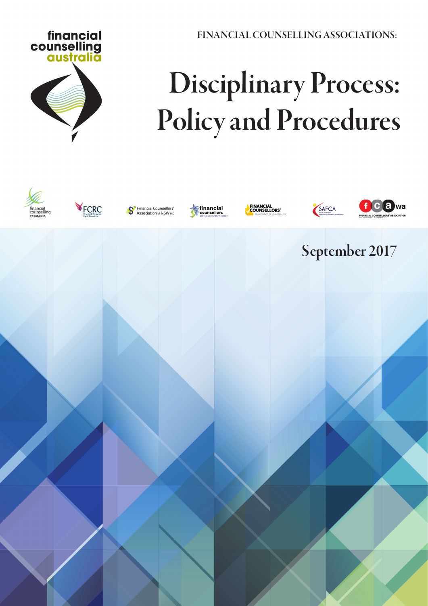FINANCIAL COUNSELLING ASSOCIATIONS:



# Disciplinary Process: Policy and Procedures

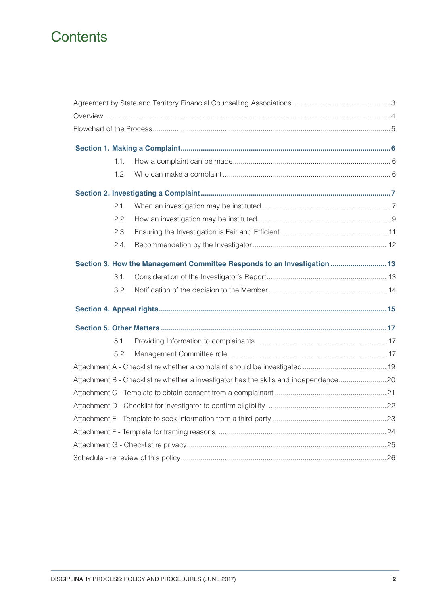### **Contents**

|  | 1.1. |                                                                                      |  |
|--|------|--------------------------------------------------------------------------------------|--|
|  | 1.2  |                                                                                      |  |
|  |      |                                                                                      |  |
|  | 2.1. |                                                                                      |  |
|  | 2.2. |                                                                                      |  |
|  | 2.3. |                                                                                      |  |
|  | 2.4. |                                                                                      |  |
|  |      | Section 3. How the Management Committee Responds to an Investigation  13             |  |
|  | 3.1. |                                                                                      |  |
|  | 3.2. |                                                                                      |  |
|  |      |                                                                                      |  |
|  |      |                                                                                      |  |
|  | 5.1. |                                                                                      |  |
|  | 5.2. |                                                                                      |  |
|  |      |                                                                                      |  |
|  |      | Attachment B - Checklist re whether a investigator has the skills and independence20 |  |
|  |      |                                                                                      |  |
|  |      |                                                                                      |  |
|  |      |                                                                                      |  |
|  |      |                                                                                      |  |
|  |      |                                                                                      |  |
|  |      |                                                                                      |  |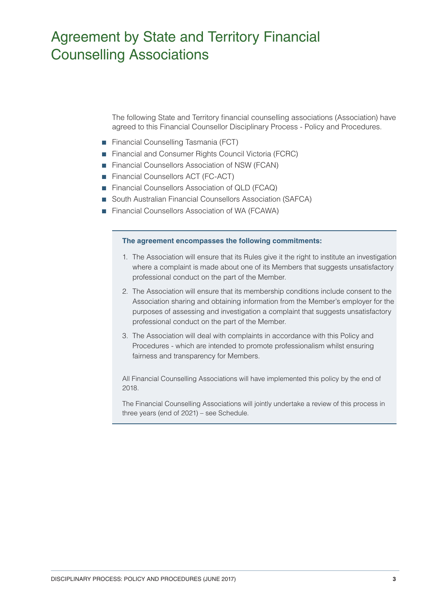### Agreement by State and Territory Financial Counselling Associations

The following State and Territory financial counselling associations (Association) have agreed to this Financial Counsellor Disciplinary Process - Policy and Procedures.

- Financial Counselling Tasmania (FCT)
- Financial and Consumer Rights Council Victoria (FCRC)
- Financial Counsellors Association of NSW (FCAN)
- Financial Counsellors ACT (FC-ACT)
- Financial Counsellors Association of QLD (FCAQ)
- South Australian Financial Counsellors Association (SAFCA)
- Financial Counsellors Association of WA (FCAWA)

#### **The agreement encompasses the following commitments:**

- 1. The Association will ensure that its Rules give it the right to institute an investigation where a complaint is made about one of its Members that suggests unsatisfactory professional conduct on the part of the Member.
- 2. The Association will ensure that its membership conditions include consent to the Association sharing and obtaining information from the Member's employer for the purposes of assessing and investigation a complaint that suggests unsatisfactory professional conduct on the part of the Member.
- 3. The Association will deal with complaints in accordance with this Policy and Procedures - which are intended to promote professionalism whilst ensuring fairness and transparency for Members.

All Financial Counselling Associations will have implemented this policy by the end of 2018.

The Financial Counselling Associations will jointly undertake a review of this process in three years (end of 2021) – see Schedule.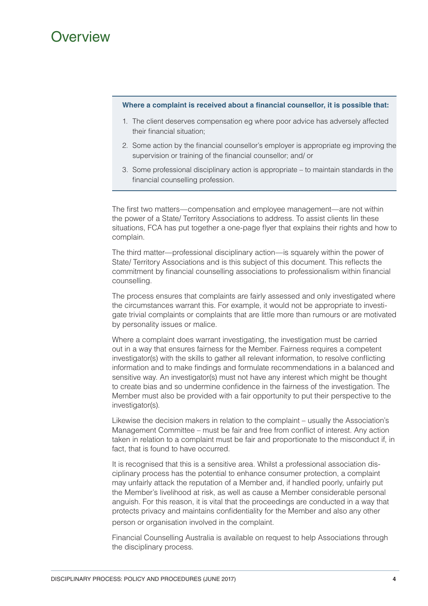### Overview

#### **Where a complaint is received about a financial counsellor, it is possible that:**

- 1. The client deserves compensation eg where poor advice has adversely affected their financial situation;
- 2. Some action by the financial counsellor's employer is appropriate eg improving the supervision or training of the financial counsellor; and/ or
- 3. Some professional disciplinary action is appropriate to maintain standards in the financial counselling profession.

The first two matters—compensation and employee management—are not within the power of a State/ Territory Associations to address. To assist clients Iin these situations, FCA has put together a one-page flyer that explains their rights and how to complain.

The third matter—professional disciplinary action—is squarely within the power of State/ Territory Associations and is this subject of this document. This reflects the commitment by financial counselling associations to professionalism within financial counselling.

The process ensures that complaints are fairly assessed and only investigated where the circumstances warrant this. For example, it would not be appropriate to investigate trivial complaints or complaints that are little more than rumours or are motivated by personality issues or malice.

Where a complaint does warrant investigating, the investigation must be carried out in a way that ensures fairness for the Member. Fairness requires a competent investigator(s) with the skills to gather all relevant information, to resolve conflicting information and to make findings and formulate recommendations in a balanced and sensitive way. An investigator(s) must not have any interest which might be thought to create bias and so undermine confidence in the fairness of the investigation. The Member must also be provided with a fair opportunity to put their perspective to the investigator(s).

Likewise the decision makers in relation to the complaint – usually the Association's Management Committee – must be fair and free from conflict of interest. Any action taken in relation to a complaint must be fair and proportionate to the misconduct if, in fact, that is found to have occurred.

It is recognised that this is a sensitive area. Whilst a professional association disciplinary process has the potential to enhance consumer protection, a complaint may unfairly attack the reputation of a Member and, if handled poorly, unfairly put the Member's livelihood at risk, as well as cause a Member considerable personal anguish. For this reason, it is vital that the proceedings are conducted in a way that protects privacy and maintains confidentiality for the Member and also any other person or organisation involved in the complaint.

Financial Counselling Australia is available on request to help Associations through the disciplinary process.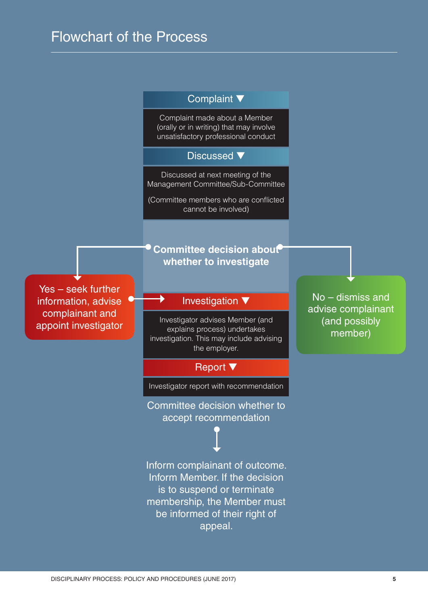### Flowchart of the Process

### Complaint ▼

Complaint made about a Member (orally or in writing) that may involve unsatisfactory professional conduct

### Discussed ▼

Discussed at next meeting of the Management Committee/Sub-Committee

(Committee members who are conflicted cannot be involved)

Yes – seek further information, advise complainant and appoint investigator **Committee decision about whether to investigate**

### Investigation ▼

Investigator advises Member (and explains process) undertakes investigation. This may include advising the employer.

### Report ▼

Investigator report with recommendation

Committee decision whether to accept recommendation

Inform complainant of outcome. Inform Member. If the decision is to suspend or terminate membership, the Member must be informed of their right of appeal.

No – dismiss and advise complainant (and possibly member)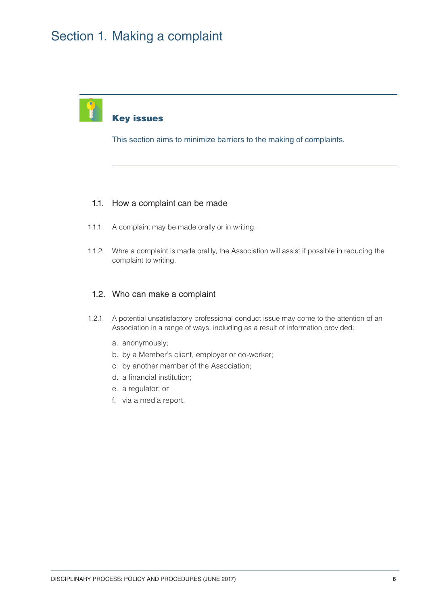### Section 1. Making a complaint



### Key issues

This section aims to minimize barriers to the making of complaints.

### 1.1. How a complaint can be made

- 1.1.1. A complaint may be made orally or in writing.
- 1.1.2. Whre a complaint is made orallly, the Association will assist if possible in reducing the complaint to writing.

### 1.2. Who can make a complaint

- 1.2.1. A potential unsatisfactory professional conduct issue may come to the attention of an Association in a range of ways, including as a result of information provided:
	- a. anonymously;
	- b. by a Member's client, employer or co-worker;
	- c. by another member of the Association;
	- d. a financial institution;
	- e. a regulator; or
	- f. via a media report.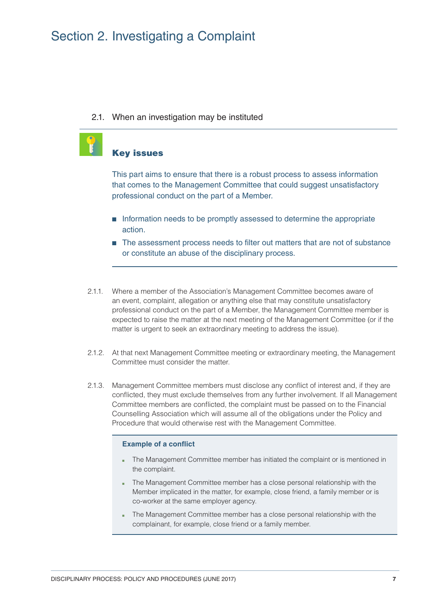### Section 2. Investigating a Complaint

### 2.1. When an investigation may be instituted

### Key issues

This part aims to ensure that there is a robust process to assess information that comes to the Management Committee that could suggest unsatisfactory professional conduct on the part of a Member.

- Information needs to be promptly assessed to determine the appropriate action.
- The assessment process needs to filter out matters that are not of substance or constitute an abuse of the disciplinary process.
- 2.1.1. Where a member of the Association's Management Committee becomes aware of an event, complaint, allegation or anything else that may constitute unsatisfactory professional conduct on the part of a Member, the Management Committee member is expected to raise the matter at the next meeting of the Management Committee (or if the matter is urgent to seek an extraordinary meeting to address the issue).
- 2.1.2. At that next Management Committee meeting or extraordinary meeting, the Management Committee must consider the matter.
- 2.1.3. Management Committee members must disclose any conflict of interest and, if they are conflicted, they must exclude themselves from any further involvement. If all Management Committee members are conflicted, the complaint must be passed on to the Financial Counselling Association which will assume all of the obligations under the Policy and Procedure that would otherwise rest with the Management Committee.

### **Example of a conflict**

- The Management Committee member has initiated the complaint or is mentioned in the complaint.
- The Management Committee member has a close personal relationship with the Member implicated in the matter, for example, close friend, a family member or is co-worker at the same employer agency.
- The Management Committee member has a close personal relationship with the complainant, for example, close friend or a family member.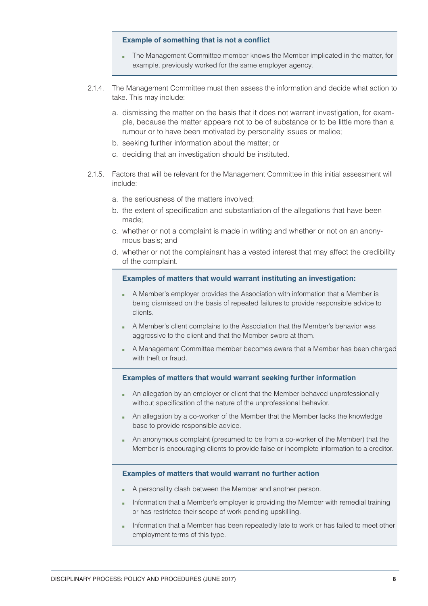#### **Example of something that is not a conflict**

- The Management Committee member knows the Member implicated in the matter, for example, previously worked for the same employer agency.
- 2.1.4. The Management Committee must then assess the information and decide what action to take. This may include:
	- a. dismissing the matter on the basis that it does not warrant investigation, for example, because the matter appears not to be of substance or to be little more than a rumour or to have been motivated by personality issues or malice;
	- b. seeking further information about the matter; or
	- c. deciding that an investigation should be instituted.
- 2.1.5. Factors that will be relevant for the Management Committee in this initial assessment will include:
	- a. the seriousness of the matters involved;
	- b. the extent of specification and substantiation of the allegations that have been made;
	- c. whether or not a complaint is made in writing and whether or not on an anonymous basis; and
	- d. whether or not the complainant has a vested interest that may affect the credibility of the complaint.

#### **Examples of matters that would warrant instituting an investigation:**

- A Member's employer provides the Association with information that a Member is being dismissed on the basis of repeated failures to provide responsible advice to clients.
- A Member's client complains to the Association that the Member's behavior was aggressive to the client and that the Member swore at them.
- A Management Committee member becomes aware that a Member has been charged with theft or fraud.

#### **Examples of matters that would warrant seeking further information**

- An allegation by an employer or client that the Member behaved unprofessionally without specification of the nature of the unprofessional behavior.
- An allegation by a co-worker of the Member that the Member lacks the knowledge base to provide responsible advice.
- An anonymous complaint (presumed to be from a co-worker of the Member) that the Member is encouraging clients to provide false or incomplete information to a creditor.

#### **Examples of matters that would warrant no further action**

- A personality clash between the Member and another person.
- Information that a Member's employer is providing the Member with remedial training or has restricted their scope of work pending upskilling.
- Information that a Member has been repeatedly late to work or has failed to meet other employment terms of this type.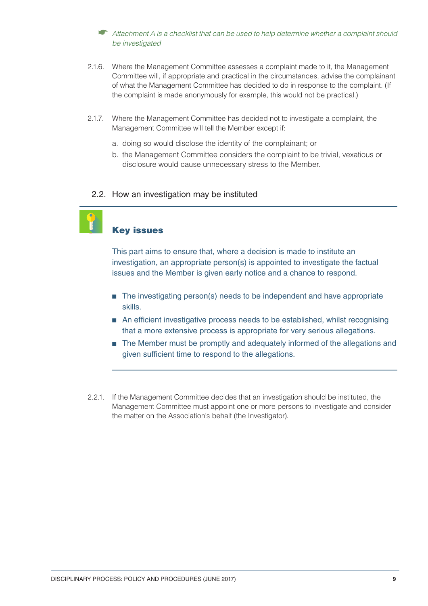### ☛ Attachment A is a checklist that can be used to help determine whether a complaint should be investigated

- 2.1.6. Where the Management Committee assesses a complaint made to it, the Management Committee will, if appropriate and practical in the circumstances, advise the complainant of what the Management Committee has decided to do in response to the complaint. (If the complaint is made anonymously for example, this would not be practical.)
- 2.1.7. Where the Management Committee has decided not to investigate a complaint, the Management Committee will tell the Member except if:
	- a. doing so would disclose the identity of the complainant; or
	- b. the Management Committee considers the complaint to be trivial, vexatious or disclosure would cause unnecessary stress to the Member.

### 2.2. How an investigation may be instituted

### Key issues

This part aims to ensure that, where a decision is made to institute an investigation, an appropriate person(s) is appointed to investigate the factual issues and the Member is given early notice and a chance to respond.

- The investigating person(s) needs to be independent and have appropriate skills.
- An efficient investigative process needs to be established, whilst recognising that a more extensive process is appropriate for very serious allegations.
- The Member must be promptly and adequately informed of the allegations and given sufficient time to respond to the allegations.
- 2.2.1. If the Management Committee decides that an investigation should be instituted, the Management Committee must appoint one or more persons to investigate and consider the matter on the Association's behalf (the Investigator).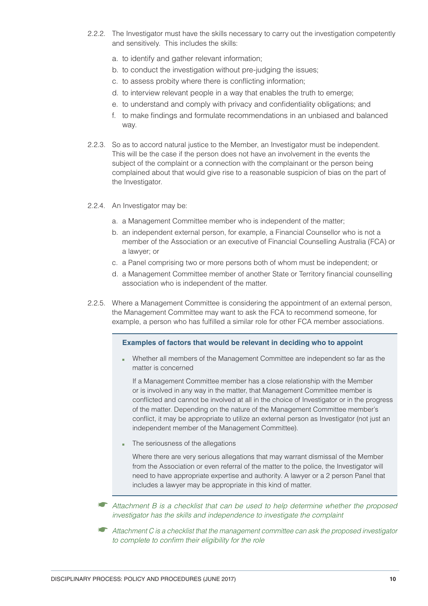- 2.2.2. The Investigator must have the skills necessary to carry out the investigation competently and sensitively. This includes the skills:
	- a. to identify and gather relevant information;
	- b. to conduct the investigation without pre-judging the issues;
	- c. to assess probity where there is conflicting information;
	- d. to interview relevant people in a way that enables the truth to emerge;
	- e. to understand and comply with privacy and confidentiality obligations; and
	- f. to make findings and formulate recommendations in an unbiased and balanced way.
- 2.2.3. So as to accord natural justice to the Member, an Investigator must be independent. This will be the case if the person does not have an involvement in the events the subject of the complaint or a connection with the complainant or the person being complained about that would give rise to a reasonable suspicion of bias on the part of the Investigator.
- 2.2.4. An Investigator may be:
	- a. a Management Committee member who is independent of the matter;
	- b. an independent external person, for example, a Financial Counsellor who is not a member of the Association or an executive of Financial Counselling Australia (FCA) or a lawyer; or
	- c. a Panel comprising two or more persons both of whom must be independent; or
	- d. a Management Committee member of another State or Territory financial counselling association who is independent of the matter.
- 2.2.5. Where a Management Committee is considering the appointment of an external person, the Management Committee may want to ask the FCA to recommend someone, for example, a person who has fulfilled a similar role for other FCA member associations.

#### **Examples of factors that would be relevant in deciding who to appoint**

■ Whether all members of the Management Committee are independent so far as the matter is concerned

If a Management Committee member has a close relationship with the Member or is involved in any way in the matter, that Management Committee member is conflicted and cannot be involved at all in the choice of Investigator or in the progress of the matter. Depending on the nature of the Management Committee member's conflict, it may be appropriate to utilize an external person as Investigator (not just an independent member of the Management Committee).

The seriousness of the allegations

Where there are very serious allegations that may warrant dismissal of the Member from the Association or even referral of the matter to the police, the Investigator will need to have appropriate expertise and authority. A lawyer or a 2 person Panel that includes a lawyer may be appropriate in this kind of matter.

- ☛ Attachment B is a checklist that can be used to help determine whether the proposed investigator has the skills and independence to investigate the complaint
- $\bullet$  Attachment C is a checklist that the management committee can ask the proposed investigator to complete to confirm their eligibility for the role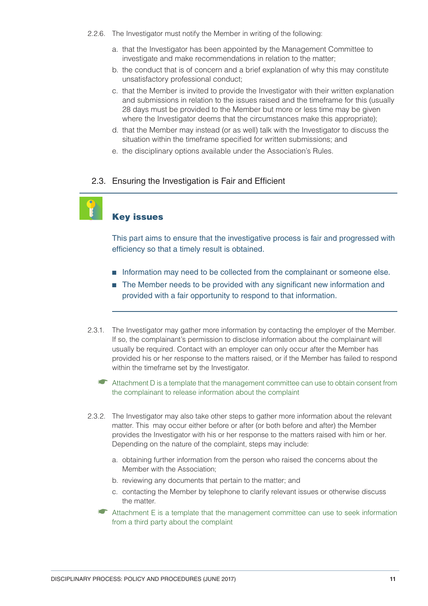- 2.2.6. The Investigator must notify the Member in writing of the following:
	- a. that the Investigator has been appointed by the Management Committee to investigate and make recommendations in relation to the matter;
	- b. the conduct that is of concern and a brief explanation of why this may constitute unsatisfactory professional conduct;
	- c. that the Member is invited to provide the Investigator with their written explanation and submissions in relation to the issues raised and the timeframe for this (usually 28 days must be provided to the Member but more or less time may be given where the Investigator deems that the circumstances make this appropriate);
	- d. that the Member may instead (or as well) talk with the Investigator to discuss the situation within the timeframe specified for written submissions; and
	- e. the disciplinary options available under the Association's Rules.

### 2.3. Ensuring the Investigation is Fair and Efficient



### Key issues

This part aims to ensure that the investigative process is fair and progressed with efficiency so that a timely result is obtained.

- Information may need to be collected from the complainant or someone else.
- The Member needs to be provided with any significant new information and provided with a fair opportunity to respond to that information.
- 2.3.1. The Investigator may gather more information by contacting the employer of the Member. If so, the complainant's permission to disclose information about the complainant will usually be required. Contact with an employer can only occur after the Member has provided his or her response to the matters raised, or if the Member has failed to respond within the timeframe set by the Investigator.
	- ☛ Attachment D is a template that the management committee can use to obtain consent from the complainant to release information about the complaint
- 2.3.2. The Investigator may also take other steps to gather more information about the relevant matter. This may occur either before or after (or both before and after) the Member provides the Investigator with his or her response to the matters raised with him or her. Depending on the nature of the complaint, steps may include:
	- a. obtaining further information from the person who raised the concerns about the Member with the Association;
	- b. reviewing any documents that pertain to the matter; and
	- c. contacting the Member by telephone to clarify relevant issues or otherwise discuss the matter.
	- ☛ Attachment E is a template that the management committee can use to seek information from a third party about the complaint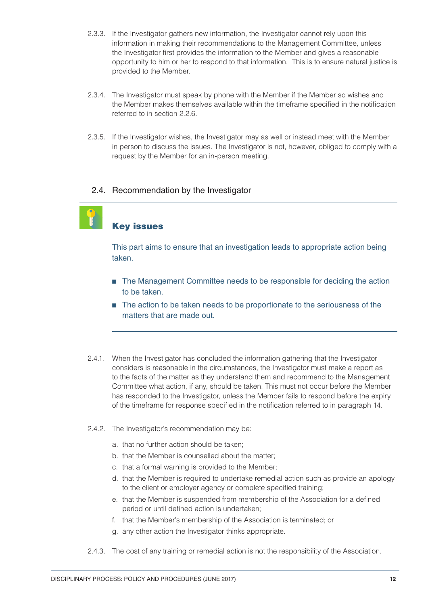- 2.3.3. If the Investigator gathers new information, the Investigator cannot rely upon this information in making their recommendations to the Management Committee, unless the Investigator first provides the information to the Member and gives a reasonable opportunity to him or her to respond to that information. This is to ensure natural justice is provided to the Member.
- 2.3.4. The Investigator must speak by phone with the Member if the Member so wishes and the Member makes themselves available within the timeframe specified in the notification referred to in section 2.2.6.
- 2.3.5. If the Investigator wishes, the Investigator may as well or instead meet with the Member in person to discuss the issues. The Investigator is not, however, obliged to comply with a request by the Member for an in-person meeting.

### 2.4. Recommendation by the Investigator



### Key issues

This part aims to ensure that an investigation leads to appropriate action being taken.

- The Management Committee needs to be responsible for deciding the action to be taken.
- The action to be taken needs to be proportionate to the seriousness of the matters that are made out.
- 2.4.1. When the Investigator has concluded the information gathering that the Investigator considers is reasonable in the circumstances, the Investigator must make a report as to the facts of the matter as they understand them and recommend to the Management Committee what action, if any, should be taken. This must not occur before the Member has responded to the Investigator, unless the Member fails to respond before the expiry of the timeframe for response specified in the notification referred to in paragraph 14.
- 2.4.2. The Investigator's recommendation may be:
	- a. that no further action should be taken;
	- b. that the Member is counselled about the matter;
	- c. that a formal warning is provided to the Member;
	- d. that the Member is required to undertake remedial action such as provide an apology to the client or employer agency or complete specified training;
	- e. that the Member is suspended from membership of the Association for a defined period or until defined action is undertaken;
	- f. that the Member's membership of the Association is terminated; or
	- g. any other action the Investigator thinks appropriate.
- 2.4.3. The cost of any training or remedial action is not the responsibility of the Association.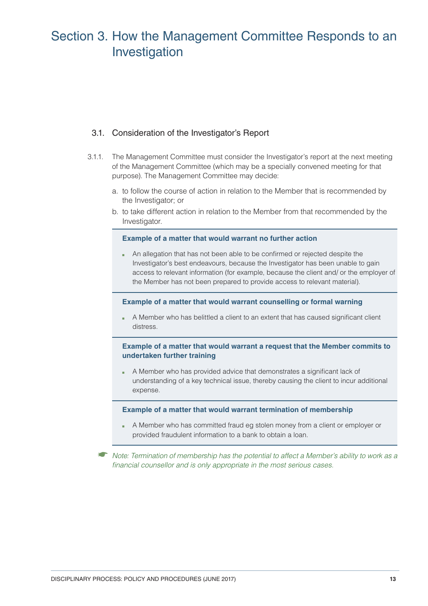### Section 3. How the Management Committee Responds to an Investigation

### 3.1. Consideration of the Investigator's Report

- 3.1.1. The Management Committee must consider the Investigator's report at the next meeting of the Management Committee (which may be a specially convened meeting for that purpose). The Management Committee may decide:
	- a. to follow the course of action in relation to the Member that is recommended by the Investigator; or
	- b. to take different action in relation to the Member from that recommended by the Investigator.

#### **Example of a matter that would warrant no further action**

■ An allegation that has not been able to be confirmed or rejected despite the Investigator's best endeavours, because the Investigator has been unable to gain access to relevant information (for example, because the client and/ or the employer of the Member has not been prepared to provide access to relevant material).

#### **Example of a matter that would warrant counselling or formal warning**

A Member who has belittled a client to an extent that has caused significant client distress.

### **Example of a matter that would warrant a request that the Member commits to undertaken further training**

A Member who has provided advice that demonstrates a significant lack of understanding of a key technical issue, thereby causing the client to incur additional expense.

#### **Example of a matter that would warrant termination of membership**

A Member who has committed fraud eg stolen money from a client or employer or provided fraudulent information to a bank to obtain a loan.

☛ Note: Termination of membership has the potential to affect a Member's ability to work as a financial counsellor and is only appropriate in the most serious cases.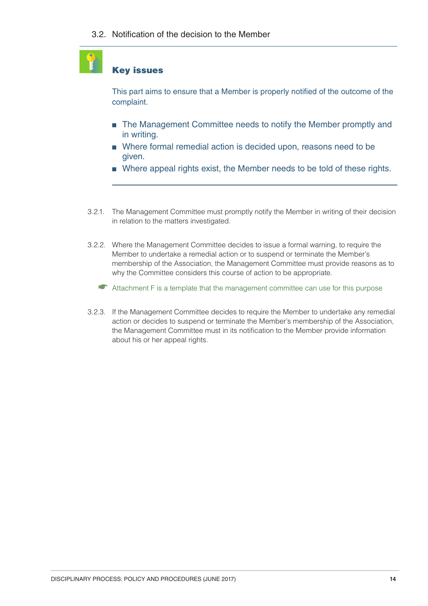### Key issues

This part aims to ensure that a Member is properly notified of the outcome of the complaint.

- The Management Committee needs to notify the Member promptly and in writing.
- Where formal remedial action is decided upon, reasons need to be given.
- Where appeal rights exist, the Member needs to be told of these rights.
- 3.2.1. The Management Committee must promptly notify the Member in writing of their decision in relation to the matters investigated.
- 3.2.2. Where the Management Committee decides to issue a formal warning, to require the Member to undertake a remedial action or to suspend or terminate the Member's membership of the Association, the Management Committee must provide reasons as to why the Committee considers this course of action to be appropriate.
	- ☛ Attachment F is a template that the management committee can use for this purpose
- 3.2.3. If the Management Committee decides to require the Member to undertake any remedial action or decides to suspend or terminate the Member's membership of the Association, the Management Committee must in its notification to the Member provide information about his or her appeal rights.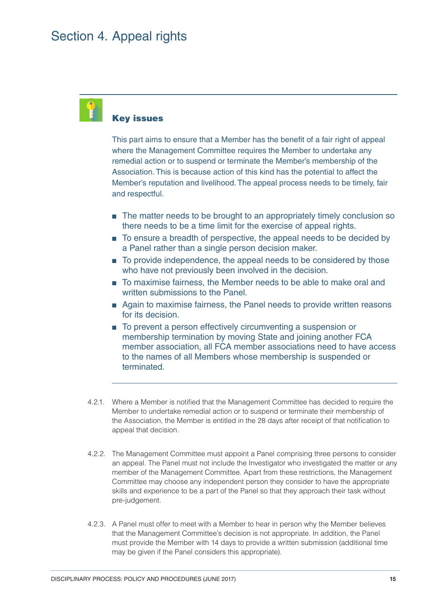### Key issues

This part aims to ensure that a Member has the benefit of a fair right of appeal where the Management Committee requires the Member to undertake any remedial action or to suspend or terminate the Member's membership of the Association. This is because action of this kind has the potential to affect the Member's reputation and livelihood. The appeal process needs to be timely, fair and respectful.

- The matter needs to be brought to an appropriately timely conclusion so there needs to be a time limit for the exercise of appeal rights.
- To ensure a breadth of perspective, the appeal needs to be decided by a Panel rather than a single person decision maker.
- To provide independence, the appeal needs to be considered by those who have not previously been involved in the decision.
- To maximise fairness, the Member needs to be able to make oral and written submissions to the Panel.
- Again to maximise fairness, the Panel needs to provide written reasons for its decision.
- To prevent a person effectively circumventing a suspension or membership termination by moving State and joining another FCA member association, all FCA member associations need to have access to the names of all Members whose membership is suspended or terminated.
- 4.2.1. Where a Member is notified that the Management Committee has decided to require the Member to undertake remedial action or to suspend or terminate their membership of the Association, the Member is entitled in the 28 days after receipt of that notification to appeal that decision.
- 4.2.2. The Management Committee must appoint a Panel comprising three persons to consider an appeal. The Panel must not include the Investigator who investigated the matter or any member of the Management Committee. Apart from these restrictions, the Management Committee may choose any independent person they consider to have the appropriate skills and experience to be a part of the Panel so that they approach their task without pre-judgement.
- 4.2.3. A Panel must offer to meet with a Member to hear in person why the Member believes that the Management Committee's decision is not appropriate. In addition, the Panel must provide the Member with 14 days to provide a written submission (additional time may be given if the Panel considers this appropriate).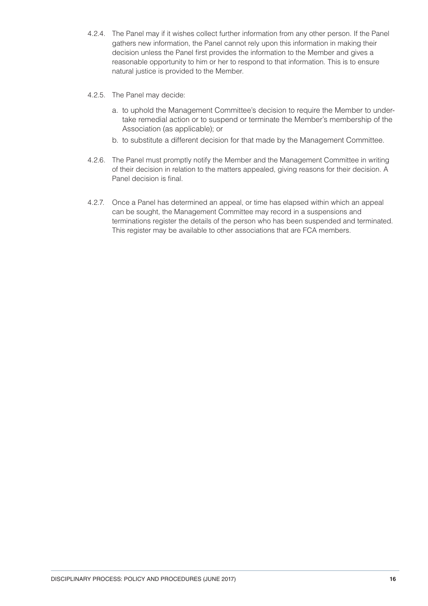- 4.2.4. The Panel may if it wishes collect further information from any other person. If the Panel gathers new information, the Panel cannot rely upon this information in making their decision unless the Panel first provides the information to the Member and gives a reasonable opportunity to him or her to respond to that information. This is to ensure natural justice is provided to the Member.
- 4.2.5. The Panel may decide:
	- a. to uphold the Management Committee's decision to require the Member to undertake remedial action or to suspend or terminate the Member's membership of the Association (as applicable); or
	- b. to substitute a different decision for that made by the Management Committee.
- 4.2.6. The Panel must promptly notify the Member and the Management Committee in writing of their decision in relation to the matters appealed, giving reasons for their decision. A Panel decision is final.
- 4.2.7. Once a Panel has determined an appeal, or time has elapsed within which an appeal can be sought, the Management Committee may record in a suspensions and terminations register the details of the person who has been suspended and terminated. This register may be available to other associations that are FCA members.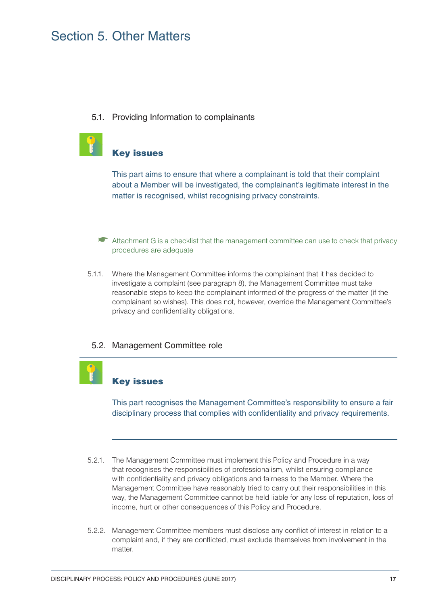### Section 5. Other Matters

5.1. Providing Information to complainants



### Key issues

This part aims to ensure that where a complainant is told that their complaint about a Member will be investigated, the complainant's legitimate interest in the matter is recognised, whilst recognising privacy constraints.

- ☛ Attachment G is a checklist that the management committee can use to check that privacy procedures are adequate
- 5.1.1. Where the Management Committee informs the complainant that it has decided to investigate a complaint (see paragraph 8), the Management Committee must take reasonable steps to keep the complainant informed of the progress of the matter (if the complainant so wishes). This does not, however, override the Management Committee's privacy and confidentiality obligations.

### 5.2. Management Committee role

### Key issues

This part recognises the Management Committee's responsibility to ensure a fair disciplinary process that complies with confidentiality and privacy requirements.

- 5.2.1. The Management Committee must implement this Policy and Procedure in a way that recognises the responsibilities of professionalism, whilst ensuring compliance with confidentiality and privacy obligations and fairness to the Member. Where the Management Committee have reasonably tried to carry out their responsibilities in this way, the Management Committee cannot be held liable for any loss of reputation, loss of income, hurt or other consequences of this Policy and Procedure.
- 5.2.2. Management Committee members must disclose any conflict of interest in relation to a complaint and, if they are conflicted, must exclude themselves from involvement in the matter.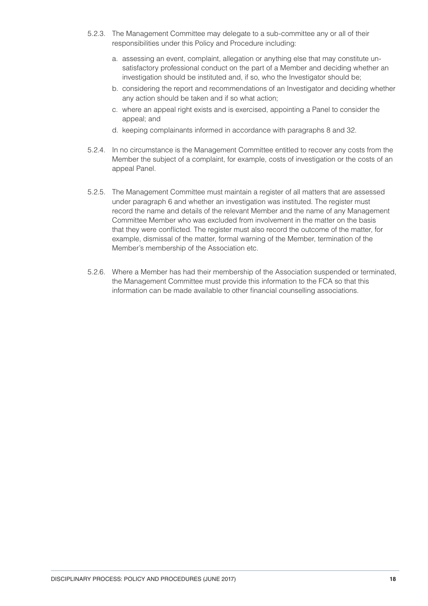- 5.2.3. The Management Committee may delegate to a sub-committee any or all of their responsibilities under this Policy and Procedure including:
	- a. assessing an event, complaint, allegation or anything else that may constitute unsatisfactory professional conduct on the part of a Member and deciding whether an investigation should be instituted and, if so, who the Investigator should be;
	- b. considering the report and recommendations of an Investigator and deciding whether any action should be taken and if so what action;
	- c. where an appeal right exists and is exercised, appointing a Panel to consider the appeal; and
	- d. keeping complainants informed in accordance with paragraphs 8 and 32.
- 5.2.4. In no circumstance is the Management Committee entitled to recover any costs from the Member the subject of a complaint, for example, costs of investigation or the costs of an appeal Panel.
- 5.2.5. The Management Committee must maintain a register of all matters that are assessed under paragraph 6 and whether an investigation was instituted. The register must record the name and details of the relevant Member and the name of any Management Committee Member who was excluded from involvement in the matter on the basis that they were conflicted. The register must also record the outcome of the matter, for example, dismissal of the matter, formal warning of the Member, termination of the Member's membership of the Association etc.
- 5.2.6. Where a Member has had their membership of the Association suspended or terminated, the Management Committee must provide this information to the FCA so that this information can be made available to other financial counselling associations.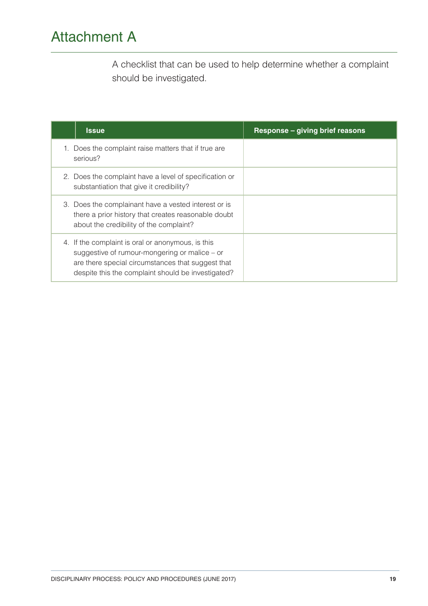### Attachment A

A checklist that can be used to help determine whether a complaint should be investigated.

| <b>Issue</b>                                                                                                                                                                                                    | Response - giving brief reasons |
|-----------------------------------------------------------------------------------------------------------------------------------------------------------------------------------------------------------------|---------------------------------|
| 1. Does the complaint raise matters that if true are<br>serious?                                                                                                                                                |                                 |
| 2. Does the complaint have a level of specification or<br>substantiation that give it credibility?                                                                                                              |                                 |
| 3. Does the complainant have a vested interest or is<br>there a prior history that creates reasonable doubt<br>about the credibility of the complaint?                                                          |                                 |
| 4. If the complaint is oral or anonymous, is this<br>suggestive of rumour-mongering or malice $-$ or<br>are there special circumstances that suggest that<br>despite this the complaint should be investigated? |                                 |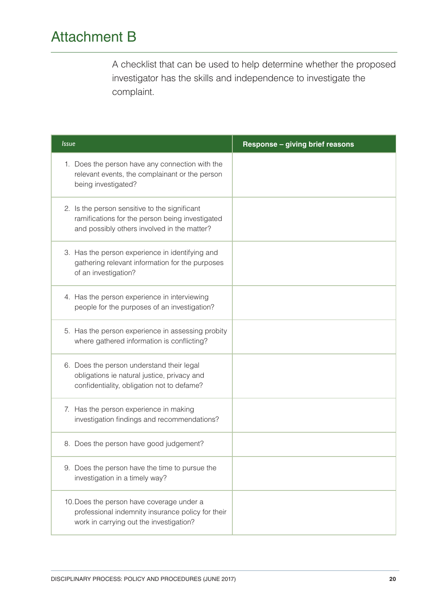### Attachment B

A checklist that can be used to help determine whether the proposed investigator has the skills and independence to investigate the complaint.

| <b>Issue</b>                                                                                                                                    | Response - giving brief reasons |
|-------------------------------------------------------------------------------------------------------------------------------------------------|---------------------------------|
| 1. Does the person have any connection with the<br>relevant events, the complainant or the person<br>being investigated?                        |                                 |
| 2. Is the person sensitive to the significant<br>ramifications for the person being investigated<br>and possibly others involved in the matter? |                                 |
| 3. Has the person experience in identifying and<br>gathering relevant information for the purposes<br>of an investigation?                      |                                 |
| 4. Has the person experience in interviewing<br>people for the purposes of an investigation?                                                    |                                 |
| 5. Has the person experience in assessing probity<br>where gathered information is conflicting?                                                 |                                 |
| 6. Does the person understand their legal<br>obligations ie natural justice, privacy and<br>confidentiality, obligation not to defame?          |                                 |
| 7. Has the person experience in making<br>investigation findings and recommendations?                                                           |                                 |
| 8. Does the person have good judgement?                                                                                                         |                                 |
| 9. Does the person have the time to pursue the<br>investigation in a timely way?                                                                |                                 |
| 10. Does the person have coverage under a<br>professional indemnity insurance policy for their<br>work in carrying out the investigation?       |                                 |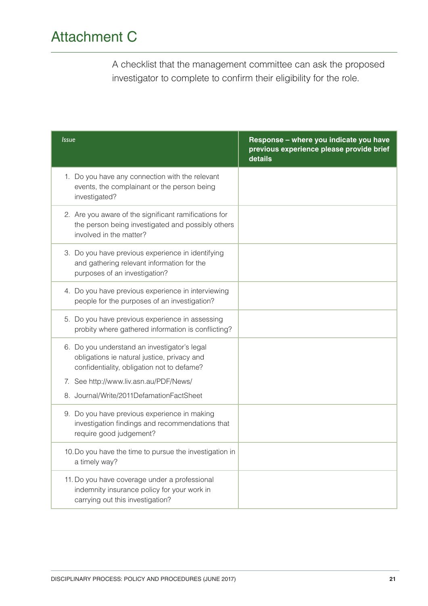## Attachment C

A checklist that the management committee can ask the proposed investigator to complete to confirm their eligibility for the role.

| <i><u><b>Issue</b></u></i>                                                                                                                | Response - where you indicate you have<br>previous experience please provide brief<br>details |
|-------------------------------------------------------------------------------------------------------------------------------------------|-----------------------------------------------------------------------------------------------|
| 1. Do you have any connection with the relevant<br>events, the complainant or the person being<br>investigated?                           |                                                                                               |
| 2. Are you aware of the significant ramifications for<br>the person being investigated and possibly others<br>involved in the matter?     |                                                                                               |
| 3. Do you have previous experience in identifying<br>and gathering relevant information for the<br>purposes of an investigation?          |                                                                                               |
| 4. Do you have previous experience in interviewing<br>people for the purposes of an investigation?                                        |                                                                                               |
| 5. Do you have previous experience in assessing<br>probity where gathered information is conflicting?                                     |                                                                                               |
| 6. Do you understand an investigator's legal<br>obligations ie natural justice, privacy and<br>confidentiality, obligation not to defame? |                                                                                               |
| 7. See http://www.liv.asn.au/PDF/News/                                                                                                    |                                                                                               |
| 8. Journal/Write/2011DefamationFactSheet                                                                                                  |                                                                                               |
| 9. Do you have previous experience in making<br>investigation findings and recommendations that<br>require good judgement?                |                                                                                               |
| 10. Do you have the time to pursue the investigation in<br>a timely way?                                                                  |                                                                                               |
| 11. Do you have coverage under a professional<br>indemnity insurance policy for your work in<br>carrying out this investigation?          |                                                                                               |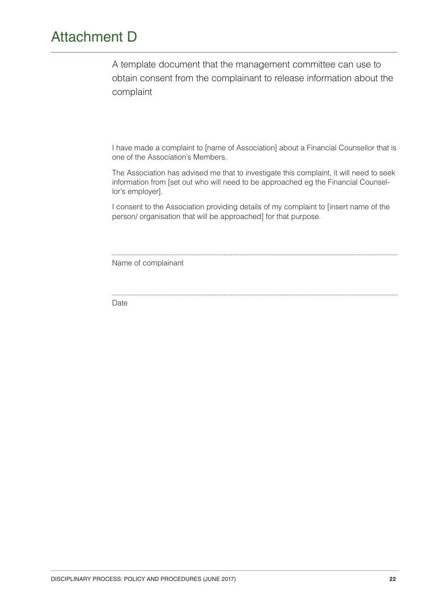### Attachment D

A template document that the management committee can use to obtain consent from the complainant to release information about the complaint

I have made a complaint to [name of Association] about a Financial Counsellor that is one of the Association's Members.

The Association has advised me that to investigate this complaint, it will need to seek information from [set out who will need to be approached eg the Financial Counsellor's employer].

I consent to the Association providing details of my complaint to [insert name of the person/ organisation that will be approached] for that purpose.

Name of complainant

Date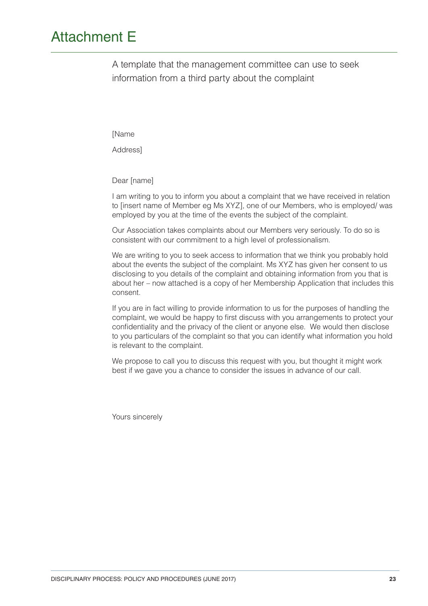### Attachment E

A template that the management committee can use to seek information from a third party about the complaint

[Name

Address]

Dear [name]

I am writing to you to inform you about a complaint that we have received in relation to [insert name of Member eg Ms XYZ], one of our Members, who is employed/ was employed by you at the time of the events the subject of the complaint.

Our Association takes complaints about our Members very seriously. To do so is consistent with our commitment to a high level of professionalism.

We are writing to you to seek access to information that we think you probably hold about the events the subject of the complaint. Ms XYZ has given her consent to us disclosing to you details of the complaint and obtaining information from you that is about her – now attached is a copy of her Membership Application that includes this consent.

If you are in fact willing to provide information to us for the purposes of handling the complaint, we would be happy to first discuss with you arrangements to protect your confidentiality and the privacy of the client or anyone else. We would then disclose to you particulars of the complaint so that you can identify what information you hold is relevant to the complaint.

We propose to call you to discuss this request with you, but thought it might work best if we gave you a chance to consider the issues in advance of our call.

Yours sincerely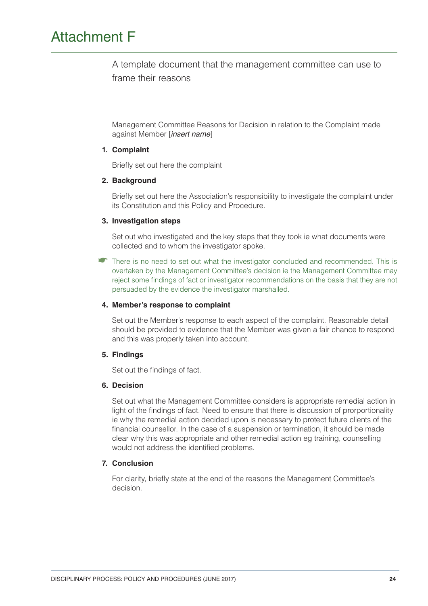### Attachment F

A template document that the management committee can use to frame their reasons

Management Committee Reasons for Decision in relation to the Complaint made against Member [insert name]

### **1. Complaint**

Briefly set out here the complaint

#### **2. Background**

Briefly set out here the Association's responsibility to investigate the complaint under its Constitution and this Policy and Procedure.

#### **3. Investigation steps**

Set out who investigated and the key steps that they took ie what documents were collected and to whom the investigator spoke.

There is no need to set out what the investigator concluded and recommended. This is overtaken by the Management Committee's decision ie the Management Committee may reject some findings of fact or investigator recommendations on the basis that they are not persuaded by the evidence the investigator marshalled.

### **4. Member's response to complaint**

Set out the Member's response to each aspect of the complaint. Reasonable detail should be provided to evidence that the Member was given a fair chance to respond and this was properly taken into account.

### **5. Findings**

Set out the findings of fact.

#### **6. Decision**

Set out what the Management Committee considers is appropriate remedial action in light of the findings of fact. Need to ensure that there is discussion of prorportionality ie why the remedial action decided upon is necessary to protect future clients of the financial counsellor. In the case of a suspension or termination, it should be made clear why this was appropriate and other remedial action eg training, counselling would not address the identified problems.

### **7. Conclusion**

For clarity, briefly state at the end of the reasons the Management Committee's decision.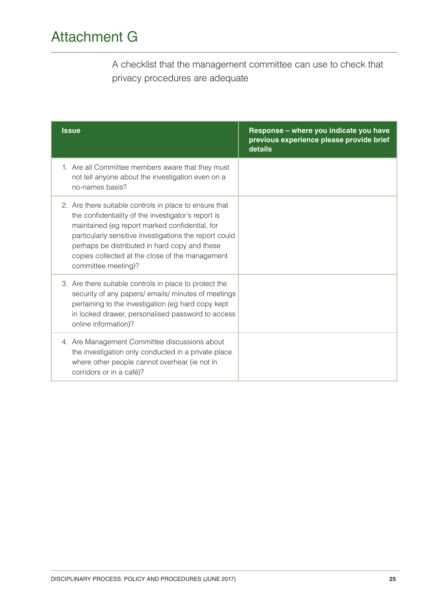## Attachment G

A checklist that the management committee can use to check that privacy procedures are adequate

| <b>Issue</b>                                                                                                                                                                                                                                                                                                                                         | Response - where you indicate you have<br>previous experience please provide brief<br>details |
|------------------------------------------------------------------------------------------------------------------------------------------------------------------------------------------------------------------------------------------------------------------------------------------------------------------------------------------------------|-----------------------------------------------------------------------------------------------|
| 1. Are all Committee members aware that they must<br>not tell anyone about the investigation even on a<br>no-names basis?                                                                                                                                                                                                                            |                                                                                               |
| 2. Are there suitable controls in place to ensure that<br>the confidentiality of the investigator's report is<br>maintained (eg report marked confidential, for<br>particularly sensitive investigations the report could<br>perhaps be distributed in hard copy and these<br>copies collected at the close of the management<br>committee meeting)? |                                                                                               |
| 3. Are there suitable controls in place to protect the<br>security of any papers/emails/minutes of meetings<br>pertaining to the investigation (eg hard copy kept<br>in locked drawer, personalised password to access<br>online information)?                                                                                                       |                                                                                               |
| 4. Are Management Committee discussions about<br>the investigation only conducted in a private place<br>where other people cannot overhear (ie not in<br>corridors or in a café)?                                                                                                                                                                    |                                                                                               |